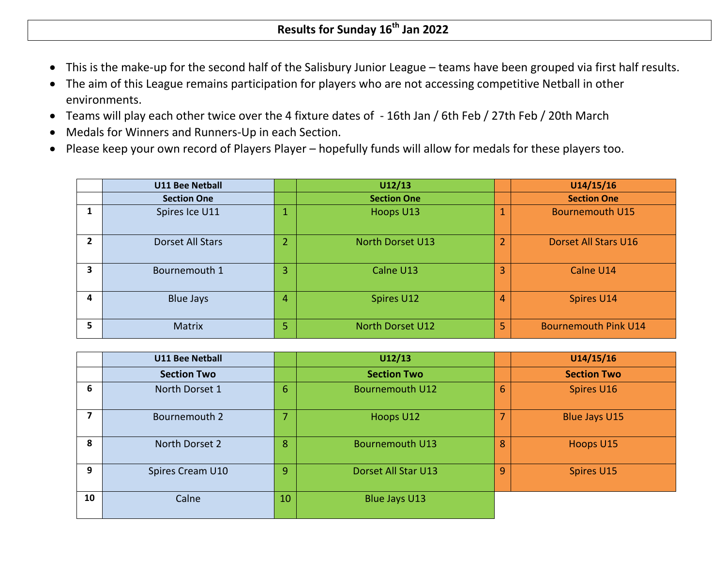- This is the make-up for the second half of the Salisbury Junior League teams have been grouped via first half results.
- The aim of this League remains participation for players who are not accessing competitive Netball in other environments.
- Teams will play each other twice over the 4 fixture dates of 16th Jan / 6th Feb / 27th Feb / 20th March
- Medals for Winners and Runners-Up in each Section.
- Please keep your own record of Players Player hopefully funds will allow for medals for these players too.

|   | <b>U11 Bee Netball</b> |    | U12/13                  |                          | U14/15/16                   |
|---|------------------------|----|-------------------------|--------------------------|-----------------------------|
|   | <b>Section One</b>     |    | <b>Section One</b>      |                          | <b>Section One</b>          |
|   | Spires Ice U11         |    | Hoops U13               | $\overline{\phantom{a}}$ | <b>Bournemouth U15</b>      |
| 2 | Dorset All Stars       |    | <b>North Dorset U13</b> | $\overline{2}$           | Dorset All Stars U16        |
| 3 | Bournemouth 1          | 3  | Calne U13               | $\overline{3}$           | Calne U14                   |
| 4 | <b>Blue Jays</b>       | 4  | Spires U12              | $\overline{4}$           | Spires U14                  |
| 5 | <b>Matrix</b>          | 5. | North Dorset U12        | 5                        | <b>Bournemouth Pink U14</b> |

|    | <b>U11 Bee Netball</b> |                | U12/13                 |   | U14/15/16            |
|----|------------------------|----------------|------------------------|---|----------------------|
|    | <b>Section Two</b>     |                | <b>Section Two</b>     |   | <b>Section Two</b>   |
| 6  | North Dorset 1         | 6              | <b>Bournemouth U12</b> | 6 | Spires U16           |
| 7  | Bournemouth 2          | $\overline{ }$ | Hoops U12              | ⇁ | <b>Blue Jays U15</b> |
| 8  | North Dorset 2         | 8              | <b>Bournemouth U13</b> | 8 | Hoops U15            |
| 9  | Spires Cream U10       | 9              | Dorset All Star U13    | 9 | Spires U15           |
| 10 | Calne                  | 10             | Blue Jays U13          |   |                      |